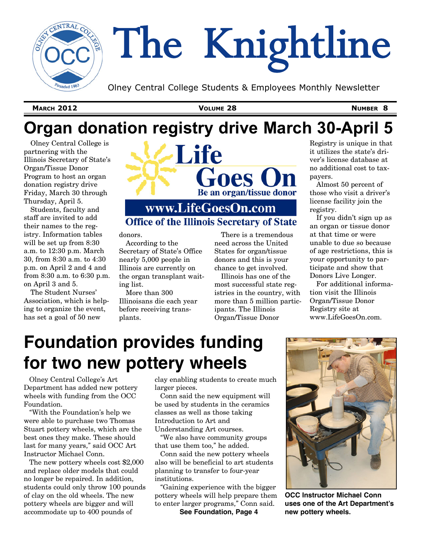

# The Knightline

Olney Central College Students & Employees Monthly Newsletter

**MARCH 2012 VOLUME 28 NUMBER 8**

## **Organ donation registry drive March 30-April 5**

Olney Central College is partnering with the Illinois Secretary of State's Organ/Tissue Donor Program to host an organ donation registry drive Friday, March 30 through Thursday, April 5.



Students, faculty and staff are invited to add their names to the registry. Information tables will be set up from 8:30 a.m. to 12:30 p.m. March 30, from 8:30 a.m. to 4:30 p.m. on April 2 and 4 and from 8:30 a.m. to 6:30 p.m. on April 3 and 5.

The Student Nurses' Association, which is helping to organize the event, has set a goal of 50 new

## www.LifeGoesOn.com **Office of the Illinois Secretary of State**

donors.

According to the Secretary of State's Office nearly 5,000 people in Illinois are currently on the organ transplant waiting list.

More than 300 Illinoisans die each year before receiving transplants.

There is a tremendous need across the United States for organ/tissue donors and this is your chance to get involved.

Illinois has one of the most successful state registries in the country, with more than 5 million participants. The Illinois Organ/Tissue Donor

Registry is unique in that it utilizes the state's driver's license database at no additional cost to taxpayers.

Almost 50 percent of those who visit a driver's license facility join the registry.

If you didn't sign up as an organ or tissue donor at that time or were unable to due so because of age restrictions, this is your opportunity to participate and show that Donors Live Longer.

For additional information visit the Illinois Organ/Tissue Donor Registry site at www.LifeGoesOn.com.

# **Foundation provides funding for two new pottery wheels**

Olney Central College's Art Department has added new pottery wheels with funding from the OCC Foundation.

"With the Foundation's help we were able to purchase two Thomas Stuart pottery wheels, which are the best ones they make. These should last for many years," said OCC Art Instructor Michael Conn.

The new pottery wheels cost \$2,000 and replace older models that could no longer be repaired. In addition, students could only throw 100 pounds of clay on the old wheels. The new pottery wheels are bigger and will accommodate up to 400 pounds of

clay enabling students to create much larger pieces.

Conn said the new equipment will be used by students in the ceramics classes as well as those taking Introduction to Art and Understanding Art courses.

"We also have community groups that use them too," he added.

Conn said the new pottery wheels also will be beneficial to art students planning to transfer to four-year institutions.

"Gaining experience with the bigger pottery wheels will help prepare them to enter larger programs," Conn said.

**See Foundation, Page 4**



**OCC Instructor Michael Conn uses one of the Art Department's new pottery wheels.**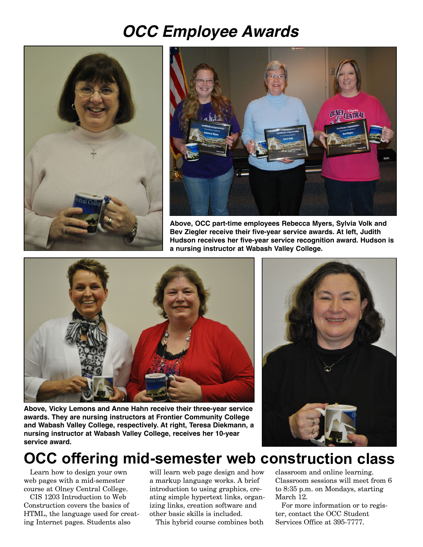## *OCC Employee Awards*





**Above, OCC part-time employees Rebecca Myers, Sylvia Volk and Bev Ziegler receive their five-year service awards. At left, Judith Hudson receives her five-year service recognition award. Hudson is a nursing instructor at Wabash Valley College.**



**Above, Vicky Lemons and Anne Hahn receive their three-year service awards. They are nursing instructors at Frontier Community College and Wabash Valley College, respectively. At right, Teresa Diekmann, a nursing instructor at Wabash Valley College, receives her 10-year service award.**



## **OCC offering mid-semester web construction class**

Learn how to design your own web pages with a mid-semester course at Olney Central College.

CIS 1203 Introduction to Web Construction covers the basics of HTML, the language used for creating Internet pages. Students also

will learn web page design and how a markup language works. A brief introduction to using graphics, creating simple hypertext links, organizing links, creation software and other basic skills is included.

This hybrid course combines both

classroom and online learning. Classroom sessions will meet from 6 to 8:35 p.m. on Mondays, starting March 12.

For more information or to register, contact the OCC Student Services Office at 395-7777.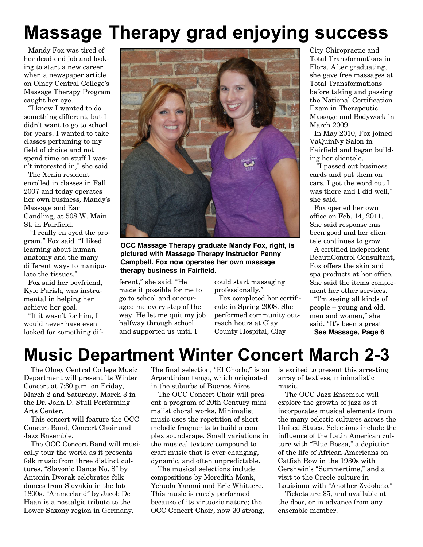# **Massage Therapy grad enjoying success**

Mandy Fox was tired of her dead-end job and looking to start a new career when a newspaper article on Olney Central College's Massage Therapy Program caught her eye.

"I knew I wanted to do something different, but I didn't want to go to school for years. I wanted to take classes pertaining to my field of choice and not spend time on stuff I wasn't interested in," she said.

The Xenia resident enrolled in classes in Fall 2007 and today operates her own business, Mandy's Massage and Ear Candling, at 508 W. Main St. in Fairfield.

"I really enjoyed the program," Fox said. "I liked learning about human anatomy and the many different ways to manipulate the tissues."

Fox said her boyfriend, Kyle Parish, was instrumental in helping her achieve her goal.

"If it wasn't for him, I would never have even looked for something dif-



**OCC Massage Therapy graduate Mandy Fox, right, is pictured with Massage Therapy instructor Penny Campbell. Fox now operates her own massage therapy business in Fairfield.**

ferent," she said. "He made it possible for me to go to school and encouraged me every step of the way. He let me quit my job halfway through school and supported us until I

could start massaging professionally."

Fox completed her certificate in Spring 2008. She performed community outreach hours at Clay County Hospital, Clay

City Chiropractic and Total Transformations in Flora. After graduating, she gave free massages at Total Transformations before taking and passing the National Certification Exam in Therapeutic Massage and Bodywork in March 2009.

In May 2010, Fox joined VaQuinNy Salon in Fairfield and began building her clientele.

"I passed out business cards and put them on cars. I got the word out I was there and I did well," she said.

Fox opened her own office on Feb. 14, 2011. She said response has been good and her clientele continues to grow.

A certified independent BeautiControl Consultant, Fox offers the skin and spa products at her office. She said the items complement her other services.

"I'm seeing all kinds of people – young and old, men and women," she said. "It's been a great **See Massage, Page 6**

## **Music Department Winter Concert March 2-3**

The Olney Central College Music Department will present its Winter Concert at 7:30 p.m. on Friday, March 2 and Saturday, March 3 in the Dr. John D. Stull Performing Arts Center.

This concert will feature the OCC Concert Band, Concert Choir and Jazz Ensemble.

The OCC Concert Band will musically tour the world as it presents folk music from three distinct cultures. "Slavonic Dance No. 8" by Antonin Dvorak celebrates folk dances from Slovakia in the late 1800s. "Ammerland" by Jacob De Haan is a nostalgic tribute to the Lower Saxony region in Germany.

The final selection, "El Choclo," is an Argentinian tango, which originated in the suburbs of Buenos Aires.

The OCC Concert Choir will present a program of 20th Century minimalist choral works. Minimalist music uses the repetition of short melodic fragments to build a complex soundscape. Small variations in the musical texture compound to craft music that is ever-changing, dynamic, and often unpredictable.

The musical selections include compositions by Meredith Monk, Yehuda Yannai and Eric Whitacre. This music is rarely performed because of its virtuosic nature; the OCC Concert Choir, now 30 strong, is excited to present this arresting array of textless, minimalistic music.

The OCC Jazz Ensemble will explore the growth of jazz as it incorporates musical elements from the many eclectic cultures across the United States. Selections include the influence of the Latin American culture with "Blue Bossa," a depiction of the life of African-Americans on Catfish Row in the 1930s with Gershwin's "Summertime," and a visit to the Creole culture in Louisiana with "Another Zydobeto."

Tickets are \$5, and available at the door, or in advance from any ensemble member.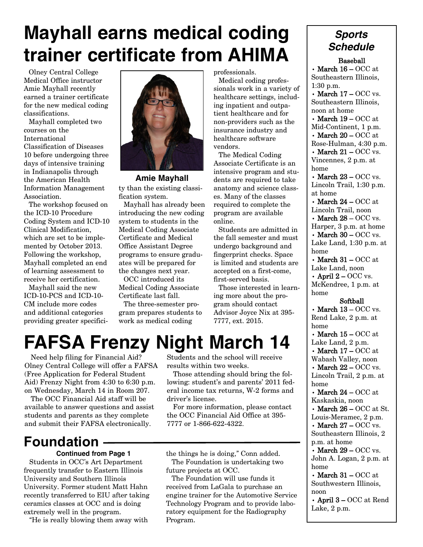# **Mayhall earns medical coding trainer certificate from AHIMA**

Olney Central College Medical Office instructor Amie Mayhall recently earned a trainer certificate for the new medical coding classifications.

Mayhall completed two courses on the International Classification of Diseases 10 before undergoing three days of intensive training in Indianapolis through the American Health Information Management Association.

The workshop focused on the ICD-10 Procedure Coding System and ICD-10 Clinical Modification, which are set to be implemented by October 2013. Following the workshop, Mayhall completed an end of learning assessment to receive her certification.

Mayhall said the new ICD-10-PCS and ICD-10- CM include more codes and additional categories providing greater specifici-



ty than the existing classification system. **Amie Mayhall**

Mayhall has already been introducing the new coding system to students in the Medical Coding Associate Certificate and Medical Office Assistant Degree programs to ensure graduates will be prepared for the changes next year.

OCC introduced its Medical Coding Associate Certificate last fall.

The three-semester program prepares students to work as medical coding

professionals.

Medical coding professionals work in a variety of healthcare settings, including inpatient and outpatient healthcare and for non-providers such as the insurance industry and healthcare software vendors.

The Medical Coding Associate Certificate is an intensive program and students are required to take anatomy and science classes. Many of the classes required to complete the program are available online.

Students are admitted in the fall semester and must undergo background and fingerprint checks. Space is limited and students are accepted on a first-come, first-served basis.

Those interested in learning more about the program should contact Advisor Joyce Nix at 395- 7777, ext. 2015.

# **FAFSA Frenzy Night March 14**

Need help filing for Financial Aid? Olney Central College will offer a FAFSA (Free Application for Federal Student Aid) Frenzy Night from 4:30 to 6:30 p.m. on Wednesday, March 14 in Room 207.

The OCC Financial Aid staff will be available to answer questions and assist students and parents as they complete and submit their FAFSA electronically.

## **Foundation**

#### **Continued from Page 1**

Students in OCC's Art Department frequently transfer to Eastern Illinois University and Southern Illinois University. Former student Matt Hahn recently transferred to EIU after taking ceramics classes at OCC and is doing extremely well in the program.

"He is really blowing them away with

Students and the school will receive results within two weeks.

Those attending should bring the following: student's and parents' 2011 federal income tax returns, W-2 forms and driver's license.

For more information, please contact the OCC Financial Aid Office at 395- 7777 or 1-866-622-4322.

the things he is doing," Conn added. The Foundation is undertaking two future projects at OCC.

The Foundation will use funds it received from LaGala to purchase an engine trainer for the Automotive Service Technology Program and to provide laboratory equipment for the Radiography Program.

### *Sports Schedule*

Baseball

• March  $16 - OCC$  at Southeastern Illinois, 1:30 p.m.

• March  $17 - OCC$  vs. Southeastern Illinois, noon at home

• March  $19 - OCC$  at Mid-Continent, 1 p.m. • March  $20 - OCC$  at Rose-Hulman, 4:30 p.m.

• March  $21 - \mathrm{OCC}$  vs. Vincennes, 2 p.m. at home

• March  $23 - OCC$  vs. Lincoln Trail, 1:30 p.m. at home

• March  $24 - OCC$  at Lincoln Trail, noon • March  $28 - OCC$  vs.

Harper, 3 p.m. at home • March  $30 - OCC$  vs. Lake Land, 1:30 p.m. at home

• March  $31 - \mathrm{OCC}$  at Lake Land, noon

• April  $2 - OCC$  vs. McKendree, 1 p.m. at home

#### Softball

• March  $13 - \mathrm{OCC}$  vs. Rend Lake, 2 p.m. at home

• March  $15 - OCC$  at Lake Land, 2 p.m.

• March  $17 - OCC$  at Wabash Valley, noon

• March  $22 - OCC$  vs. Lincoln Trail, 2 p.m. at home

• March  $24 - OCC$  at Kaskaskia, noon

• March  $26 - OCC$  at St. Louis-Meramec, 2 p.m.

• March  $27 - OCC$  vs. Southeastern Illinois, 2 p.m. at home

• March  $29 - OCC$  vs. John A. Logan, 2 p.m. at home

• March  $31 - \mathrm{OCC}$  at Southwestern Illinois, noon

• April 3 – OCC at Rend Lake, 2 p.m.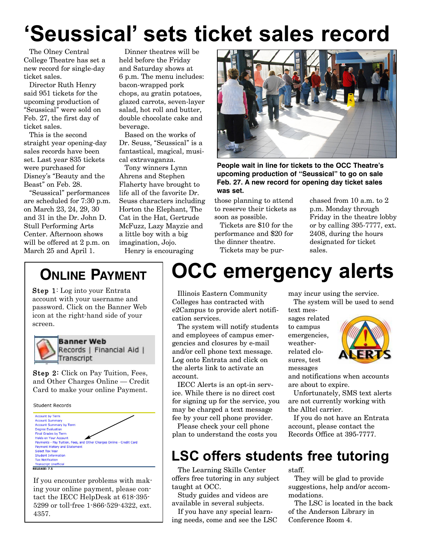# **'Seussical' sets ticket sales record**

The Olney Central College Theatre has set a new record for single-day ticket sales.

Director Ruth Henry said 951 tickets for the upcoming production of "Seussical" were sold on Feb. 27, the first day of ticket sales.

This is the second straight year opening-day sales records have been set. Last year 835 tickets were purchased for Disney's "Beauty and the Beast" on Feb. 28.

"Seussical" performances are scheduled for 7:30 p.m. on March 23, 24, 29, 30 and 31 in the Dr. John D. Stull Performing Arts Center. Afternoon shows will be offered at 2 p.m. on March 25 and April 1.

Dinner theatres will be held before the Friday and Saturday shows at 6 p.m. The menu includes: bacon-wrapped pork chops, au gratin potatoes, glazed carrots, seven-layer salad, hot roll and butter, double chocolate cake and beverage.

Based on the works of Dr. Seuss, "Seussical" is a fantastical, magical, musical extravaganza.

Tony winners Lynn Ahrens and Stephen Flaherty have brought to life all of the favorite Dr. Seuss characters including Horton the Elephant, The Cat in the Hat, Gertrude McFuzz, Lazy Mayzie and a little boy with a big imagination, Jojo. Henry is encouraging



**People wait in line for tickets to the OCC Theatre's upcoming production of "Seussical" to go on sale Feb. 27. A new record for opening day ticket sales was set.**

those planning to attend to reserve their tickets as soon as possible.

Tickets are \$10 for the performance and \$20 for the dinner theatre. Tickets may be purchased from 10 a.m. to 2 p.m. Monday through Friday in the theatre lobby or by calling 395-7777, ext. 2408, during the hours designated for ticket sales.

## **ONLINE PAYMENT**

Step 1: Log into your Entrata account with your username and password. Click on the Banner Web icon at the right-hand side of your screen.



**Banner Web** Records | Financial Aid | Transcript

Step 2: Click on Pay Tuition, Fees, and Other Charges Online — Credit Card to make your online Payment.

**Student Records** 



If you encounter problems with making your online payment, please contact the IECC HelpDesk at 618-395- 5299 or toll-free 1-866-529-4322, ext. 4357.

# **OCC emergency alerts**

Illinois Eastern Community Colleges has contracted with e2Campus to provide alert notification services.

The system will notify students and employees of campus emergencies and closures by e-mail and/or cell phone text message. Log onto Entrata and click on the alerts link to activate an account.

IECC Alerts is an opt-in service. While there is no direct cost for signing up for the service, you may be charged a text message fee by your cell phone provider.

Please check your cell phone plan to understand the costs you may incur using the service.

The system will be used to send text mes-

sages related to campus emergencies, weatherrelated closures, test messages



and notifications when accounts are about to expire.

Unfortunately, SMS text alerts are not currently working with the Alltel carrier.

If you do not have an Entrata account, please contact the Records Office at 395-7777.

## **LSC offers students free tutoring**

The Learning Skills Center offers free tutoring in any subject taught at OCC.

Study guides and videos are available in several subjects.

If you have any special learning needs, come and see the LSC staff.

They will be glad to provide suggestions, help and/or accommodations.

The LSC is located in the back of the Anderson Library in Conference Room 4.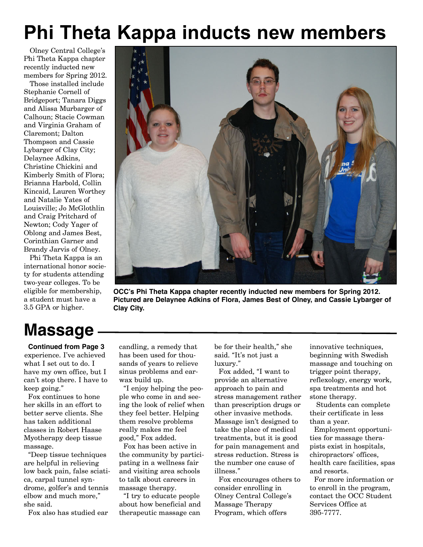# **Phi Theta Kappa inducts new members**

Olney Central College's Phi Theta Kappa chapter recently inducted new members for Spring 2012.

Those installed include Stephanie Cornell of Bridgeport; Tanara Diggs and Alissa Murbarger of Calhoun; Stacie Cowman and Virginia Graham of Claremont; Dalton Thompson and Cassie Lybarger of Clay City; Delaynee Adkins, Christine Chickini and Kimberly Smith of Flora; Brianna Harbold, Collin Kincaid, Lauren Worthey and Natalie Yates of Louisville; Jo McGlothlin and Craig Pritchard of Newton; Cody Yager of Oblong and James Best, Corinthian Garner and Brandy Jarvis of Olney.

Phi Theta Kappa is an international honor society for students attending two-year colleges. To be eligible for membership, a student must have a 3.5 GPA or higher.



**OCC's Phi Theta Kappa chapter recently inducted new members for Spring 2012. Pictured are Delaynee Adkins of Flora, James Best of Olney, and Cassie Lybarger of Clay City.**

# **Massage**

**Continued from Page 3** experience. I've achieved what I set out to do. I have my own office, but I can't stop there. I have to keep going."

Fox continues to hone her skills in an effort to better serve clients. She has taken additional classes in Robert Haase Myotherapy deep tissue massage.

"Deep tissue techniques are helpful in relieving low back pain, false sciatica, carpal tunnel syndrome, golfer's and tennis elbow and much more," she said.

Fox also has studied ear

candling, a remedy that has been used for thousands of years to relieve sinus problems and earwax build up.

"I enjoy helping the people who come in and seeing the look of relief when they feel better. Helping them resolve problems really makes me feel good," Fox added.

Fox has been active in the community by participating in a wellness fair and visiting area schools to talk about careers in massage therapy.

"I try to educate people about how beneficial and therapeutic massage can

be for their health," she said. "It's not just a luxury."

Fox added, "I want to provide an alternative approach to pain and stress management rather than prescription drugs or other invasive methods. Massage isn't designed to take the place of medical treatments, but it is good for pain management and stress reduction. Stress is the number one cause of illness."

Fox encourages others to consider enrolling in Olney Central College's Massage Therapy Program, which offers

innovative techniques, beginning with Swedish massage and touching on trigger point therapy, reflexology, energy work, spa treatments and hot stone therapy.

Students can complete their certificate in less than a year.

Employment opportunities for massage therapists exist in hospitals, chiropractors' offices, health care facilities, spas and resorts.

For more information or to enroll in the program, contact the OCC Student Services Office at 395-7777.